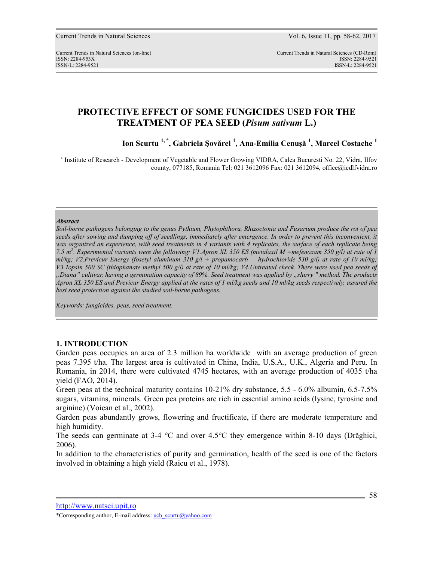# **PROTECTIVE EFFECT OF SOME FUNGICIDES USED FOR THE TREATMENT OF PEA SEED (***Pisum sativum* **L.)**

**Ion Scurtu 1, \*, Gabriela Şovărel <sup>1</sup> , Ana-Emilia Cenuşă <sup>1</sup> , Marcel Costache <sup>1</sup>**

\* Institute of Research - Development of Vegetable and Flower Growing VIDRA, Calea Bucuresti No. 22, Vidra, Ilfov county, 077185, Romania Tel: 021 3612096 Fax: 021 3612094, office@icdlfvidra.ro

### *Abstract*

*Soil-borne pathogens belonging to the genus Pythium, Phytophthora, Rhizoctonia and Fusarium produce the rot of pea seeds after sowing and dumping off of seedlings, immediately after emergence. In order to prevent this inconvenient, it was organized an experience, with seed treatments in 4 variants with 4 replicates, the surface of each replicate being 7.5 m<sup>2</sup> . Experimental variants were the following: V1.Apron XL 350 ES (metalaxil M =mefenoxam 350 g/l) at rate of 1 ml/kg; V2.Previcur Energy (fosetyl aluminum 310 g/l + propamocarb hydrochloride 530 g/l) at rate of 10 ml/kg; V3.Topsin 500 SC (thiophanate methyl 500 g/l) at rate of 10 ml/kg; V4.Untreated check. There were used pea seeds of "Diana" cultivar, having a germination capacity of 89%. Seed treatment was applied by "slurry " method. The products Apron XL 350 ES and Previcur Energy applied at the rates of 1 ml/kg seeds and 10 ml/kg seeds respectively, assured the best seed protection against the studied soil-borne pathogens.* 

*Keywords: fungicides, peas, seed treatment.* 

# **1. INTRODUCTION**

Garden peas occupies an area of 2.3 million ha worldwide with an average production of green peas 7.395 t/ha. The largest area is cultivated in China, India, U.S.A., U.K., Algeria and Peru. In Romania, in 2014, there were cultivated 4745 hectares, with an average production of 4035 t/ha yield (FAO, 2014).

Green peas at the technical maturity contains 10-21% dry substance, 5.5 - 6.0% albumin, 6.5-7.5% sugars, vitamins, minerals. Green pea proteins are rich in essential amino acids (lysine, tyrosine and arginine) (Voican et al., 2002).

Garden peas abundantly grows, flowering and fructificate, if there are moderate temperature and high humidity.

The seeds can germinate at 3-4 °C and over 4.5°C they emergence within 8-10 days (Drăghici, 2006).

In addition to the characteristics of purity and germination, health of the seed is one of the factors involved in obtaining a high yield (Raicu et al., 1978).

http://www.natsci.upit.ro

<sup>\*</sup>Corresponding author, E-mail address: ucb\_scurtu@yahoo.com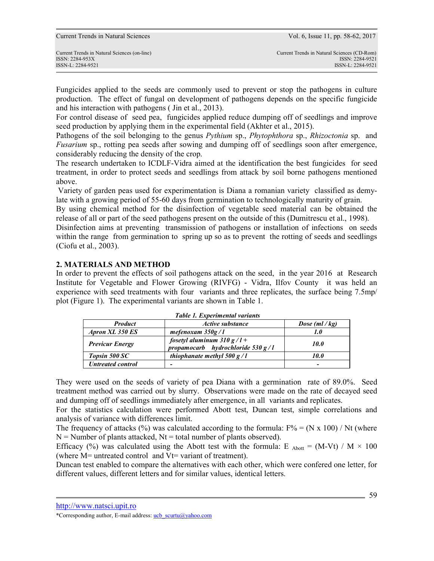ISSN-L: 2284-9521 ISSN-L: 2284-9521

Fungicides applied to the seeds are commonly used to prevent or stop the pathogens in culture production. The effect of fungal on development of pathogens depends on the specific fungicide and his interaction with pathogens ( Jin et al., 2013).

For control disease of seed pea, fungicides applied reduce dumping off of seedlings and improve seed production by applying them in the experimental field (Akhter et al., 2015).

Pathogens of the soil belonging to the genus *Pythium* sp., *Phytophthora* sp., *Rhizoctonia* sp. and *Fusarium* sp., rotting pea seeds after sowing and dumping off of seedlings soon after emergence, considerably reducing the density of the crop.

The research undertaken to ICDLF-Vidra aimed at the identification the best fungicides for seed treatment, in order to protect seeds and seedlings from attack by soil borne pathogens mentioned above.

 Variety of garden peas used for experimentation is Diana a romanian variety classified as demylate with a growing period of 55-60 days from germination to technologically maturity of grain.

By using chemical method for the disinfection of vegetable seed material can be obtained the release of all or part of the seed pathogens present on the outside of this (Dumitrescu et al., 1998).

Disinfection aims at preventing transmission of pathogens or installation of infections on seeds within the range from germination to spring up so as to prevent the rotting of seeds and seedlings (Ciofu et al., 2003).

# **2. MATERIALS AND METHOD**

In order to prevent the effects of soil pathogens attack on the seed, in the year 2016 at Research Institute for Vegetable and Flower Growing (RIVFG) - Vidra, Ilfov County it was held an experience with seed treatments with four variants and three replicates, the surface being 7.5mp/ plot (Figure 1). The experimental variants are shown in Table 1.

| тили 1. гластинстии типино                                                                    |                            |                |  |  |
|-----------------------------------------------------------------------------------------------|----------------------------|----------------|--|--|
| <b>Product</b>                                                                                | Active substance           | Dose $(ml/kg)$ |  |  |
| Apron XL 350 ES                                                                               | mefenoxam $350g/l$         | 1.0            |  |  |
| fosetyl aluminum $310 g/l +$<br><b>Previcur Energy</b><br>propamocarb hydrochloride $530 g/l$ |                            | <i>10.0</i>    |  |  |
| <b>Topsin 500 SC</b>                                                                          | thiophanate methyl 500 g/l | 10.0           |  |  |
| <b>Untreated control</b>                                                                      | -                          | -              |  |  |

*Table 1. Experimental variants* 

They were used on the seeds of variety of pea Diana with a germination rate of 89.0%. Seed treatment method was carried out by slurry. Observations were made on the rate of decayed seed and dumping off of seedlings immediately after emergence, in all variants and replicates.

For the statistics calculation were performed Abott test, Duncan test, simple correlations and analysis of variance with differences limit.

The frequency of attacks (%) was calculated according to the formula:  $F\% = (N \times 100) / Nt$  (where  $N =$  Number of plants attacked,  $Nt =$  total number of plants observed).

Efficacy (%) was calculated using the Abott test with the formula: E  $_{\text{Abott}} = (M-Vt) / M \times 100$ (where M= untreated control and Vt= variant of treatment).

Duncan test enabled to compare the alternatives with each other, which were confered one letter, for different values, different letters and for similar values, identical letters.

http://www.natsci.upit.ro

<sup>\*</sup>Corresponding author, E-mail address: ucb\_scurtu@yahoo.com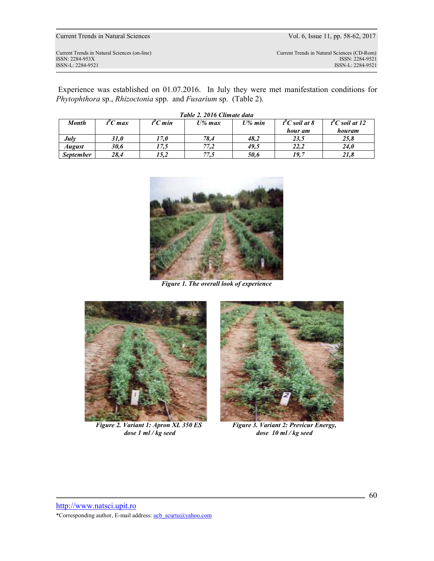Current Trends in Natural Sciences Vol. 6, Issue 11, pp. 58-62, 2017

ISSN: 2284-953XISSN: 2284-9521

Current Trends in Natural Sciences (CD-Rom)<br>ISSN: 2284-9521 ISSN-L: 2284-9521 ISSN-L: 2284-9521

 Experience was established on 01.07.2016. In July they were met manifestation conditions for *Phytophthora* sp., *Rhizoctonia* spp. and *Fusarium* sp. (Table 2).

| Month            | t"C max | "C min | U% max | $U\%$ min | t <sup>o</sup> C soil at 8 | $t^{\prime\prime}$ C soil at 12 |
|------------------|---------|--------|--------|-----------|----------------------------|---------------------------------|
|                  |         |        |        |           | hour am                    | houram                          |
| July             | 31.0    | 17,0   | 78,4   | 48,2      | 23.5                       | 25,8                            |
| <b>August</b>    | 30,6    | 17,5   | 77,2   | 49,5      | 22,2                       | 24,0                            |
| <b>September</b> | 28.4    | 15,2   | 77,5   | 50,6      | 19,7                       | 21,8                            |



*Figure 1. The overall look of experience* 



*Figure 2. Variant 1: Apron XL 350 ES dose 1 ml / kg seed* 



*Figure 3. Variant 2: Previcur Energy, dose 10 ml / kg seed* 

http://www.natsci.upit.ro \*Corresponding author, E-mail address: ucb\_scurtu@yahoo.com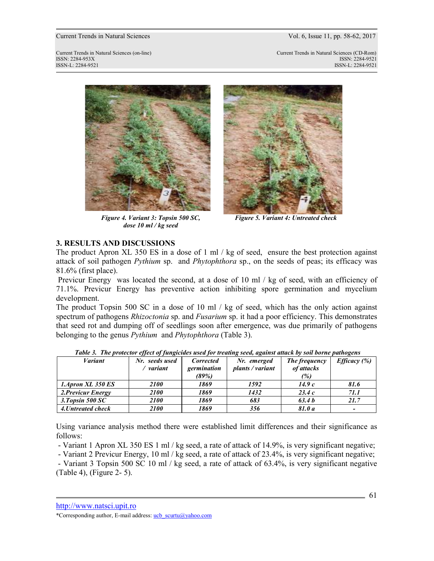#### Current Trends in Natural Sciences Vol. 6, Issue 11, pp. 58-62, 2017

Current Trends in Natural Sciences (on-line) Current Trends in Natural Sciences (CD-Rom) ISSN: 2284-953XISSN: 2284-9521 ISSN-L: 2284-9521 ISSN-L: 2284-9521



*Figure 4. Variant 3: Topsin 500 SC, dose 10 ml / kg seed* 



*Figure 5. Variant 4: Untreated check* 

# **3. RESULTS AND DISCUSSIONS**

The product Apron XL 350 ES in a dose of 1 ml / kg of seed, ensure the best protection against attack of soil pathogen *Pythium* sp. and *Phytophthora* sp., on the seeds of peas; its efficacy was 81.6% (first place).

Previcur Energy was located the second, at a dose of 10 ml / kg of seed, with an efficiency of 71.1%. Previcur Energy has preventive action inhibiting spore germination and mycelium development.

The product Topsin 500 SC in a dose of 10 ml / kg of seed, which has the only action against spectrum of pathogens *Rhizoctonia* sp. and *Fusarium* sp. it had a poor efficiency. This demonstrates that seed rot and dumping off of seedlings soon after emergence, was due primarily of pathogens belonging to the genus *Pythium* and *Phytophthora* (Table 3).

| <b>Variant</b>     | Nr. seeds used | Corrected   | Nr. emerged      | The frequency | <i>Efficacy</i> $(\%)$ |
|--------------------|----------------|-------------|------------------|---------------|------------------------|
|                    | variant        | germination | plants / variant | of attacks    |                        |
|                    |                | (89%)       |                  | (%)           |                        |
| 1.Apron XL 350 ES  | <i>2100</i>    | 1869        | 1592             | 14.9c         | 81.6                   |
| 2. Previcur Energy | 2100           | 1869        | 1432             | 23.4c         | 71.1                   |
| 3. Topsin $500$ SC | <i>2100</i>    | 1869        | 683              | 63.4b         | 21.7                   |
| 4. Untreated check | 2100           | 1869        | 356              | 81.0 a        | $\overline{a}$         |

*Table 3. The protector effect of fungicides used for treating seed, against attack by soil borne pathogens* 

Using variance analysis method there were established limit differences and their significance as follows:

- Variant 1 Apron XL 350 ES 1 ml / kg seed, a rate of attack of 14.9%, is very significant negative;

- Variant 2 Previcur Energy, 10 ml / kg seed, a rate of attack of 23.4%, is very significant negative;

 - Variant 3 Topsin 500 SC 10 ml / kg seed, a rate of attack of 63.4%, is very significant negative (Table 4), (Figure 2- 5).

http://www.natsci.upit.ro

<sup>\*</sup>Corresponding author, E-mail address: ucb\_scurtu@yahoo.com